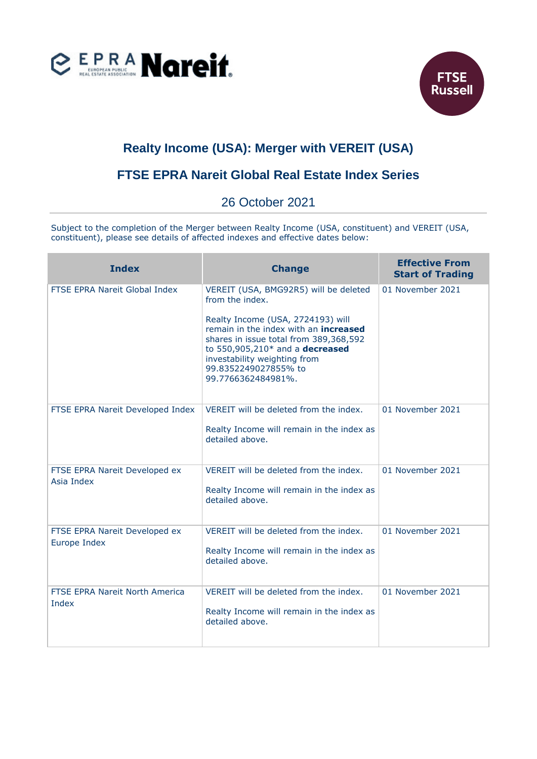



## **Realty Income (USA): Merger with VEREIT (USA)**

## **FTSE EPRA Nareit Global Real Estate Index Series**

## 26 October 2021

Subject to the completion of the Merger between Realty Income (USA, constituent) and VEREIT (USA, constituent), please see details of affected indexes and effective dates below:

| <b>Index</b>                                   | <b>Change</b>                                                                                                                                                                                                                                | <b>Effective From</b><br><b>Start of Trading</b> |
|------------------------------------------------|----------------------------------------------------------------------------------------------------------------------------------------------------------------------------------------------------------------------------------------------|--------------------------------------------------|
| FTSE EPRA Nareit Global Index                  | VEREIT (USA, BMG92R5) will be deleted<br>from the index.                                                                                                                                                                                     | 01 November 2021                                 |
|                                                | Realty Income (USA, 2724193) will<br>remain in the index with an <b>increased</b><br>shares in issue total from 389,368,592<br>to 550,905,210* and a decreased<br>investability weighting from<br>99.8352249027855% to<br>99.7766362484981%. |                                                  |
| FTSE EPRA Nareit Developed Index               | VEREIT will be deleted from the index.<br>Realty Income will remain in the index as<br>detailed above.                                                                                                                                       | 01 November 2021                                 |
| FTSE EPRA Nareit Developed ex<br>Asia Index    | VEREIT will be deleted from the index.<br>Realty Income will remain in the index as<br>detailed above.                                                                                                                                       | 01 November 2021                                 |
| FTSE EPRA Nareit Developed ex<br>Europe Index  | VEREIT will be deleted from the index.<br>Realty Income will remain in the index as<br>detailed above.                                                                                                                                       | 01 November 2021                                 |
| <b>FTSE EPRA Nareit North America</b><br>Index | VEREIT will be deleted from the index.<br>Realty Income will remain in the index as<br>detailed above.                                                                                                                                       | 01 November 2021                                 |